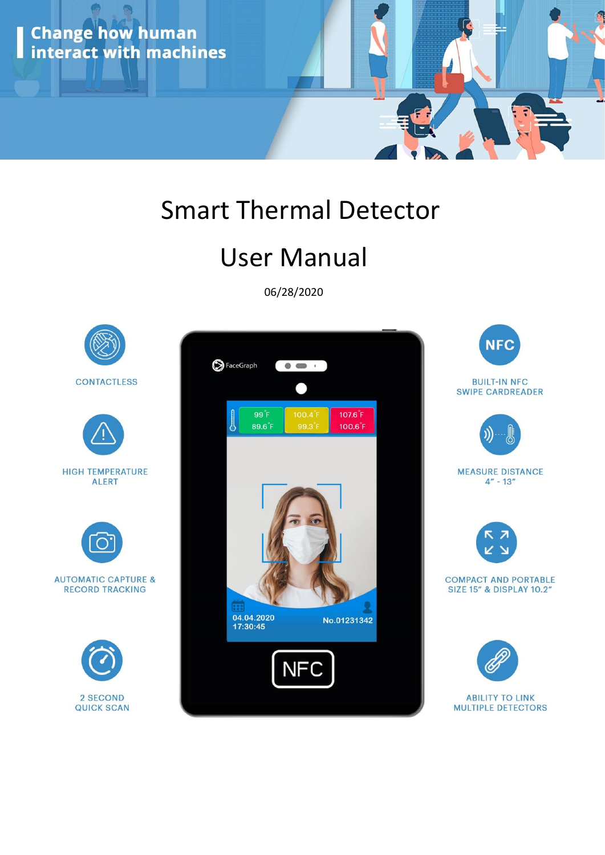

# Smart Thermal Detector

# User Manual

06/28/2020

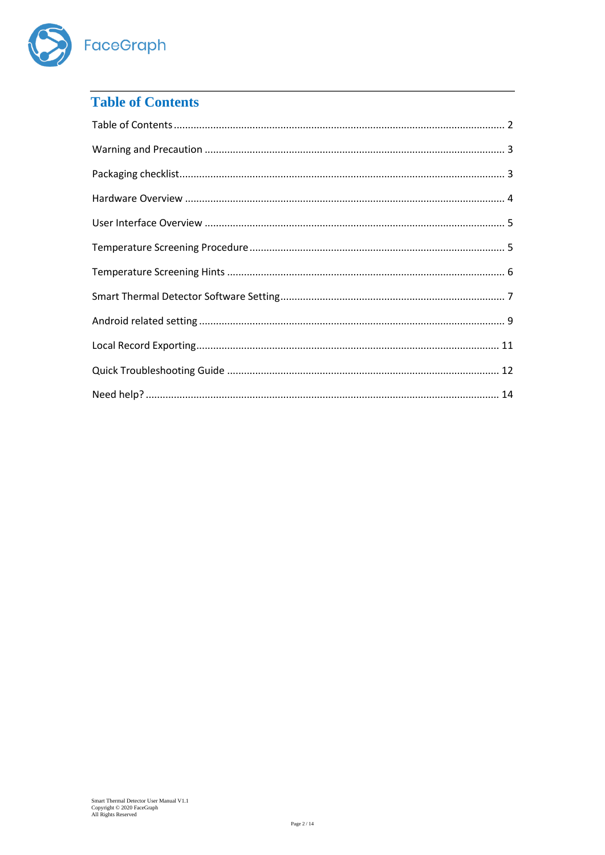

## <span id="page-1-0"></span>**Table of Contents**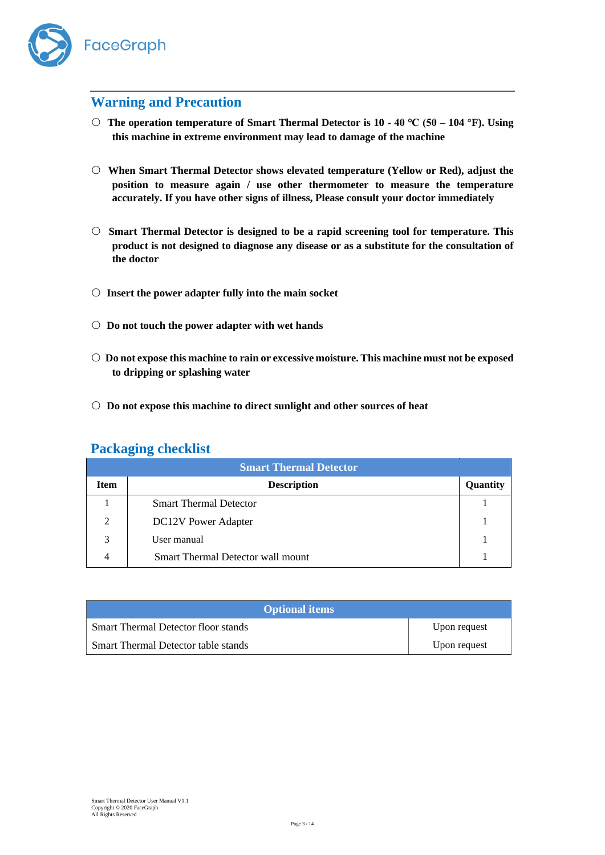

## <span id="page-2-0"></span>**Warning and Precaution**

- **The operation temperature of Smart Thermal Detector is 10 - 40 ℃ (50 – 104 °F). Using this machine in extreme environment may lead to damage of the machine**
- **When Smart Thermal Detector shows elevated temperature (Yellow or Red), adjust the position to measure again / use other thermometer to measure the temperature accurately. If you have other signs of illness, Please consult your doctor immediately**
- **Smart Thermal Detector is designed to be a rapid screening tool for temperature. This product is not designed to diagnose any disease or as a substitute for the consultation of the doctor**
- **Insert the power adapter fully into the main socket**
- **Do not touch the power adapter with wet hands**
- **Do not expose this machine to rain or excessive moisture. This machine must not be exposed to dripping or splashing water**
- **Do not expose this machine to direct sunlight and other sources of heat**

### <span id="page-2-1"></span>**Packaging checklist**

| <b>Smart Thermal Detector</b> |                                   |          |  |  |  |
|-------------------------------|-----------------------------------|----------|--|--|--|
| <b>Item</b>                   | <b>Description</b>                | Quantity |  |  |  |
|                               | <b>Smart Thermal Detector</b>     |          |  |  |  |
| $\overline{2}$                | <b>DC12V</b> Power Adapter        |          |  |  |  |
| 3                             | User manual                       |          |  |  |  |
| 4                             | Smart Thermal Detector wall mount |          |  |  |  |

| <b>Optional items</b>               |              |
|-------------------------------------|--------------|
| Smart Thermal Detector floor stands | Upon request |
| Smart Thermal Detector table stands | Upon request |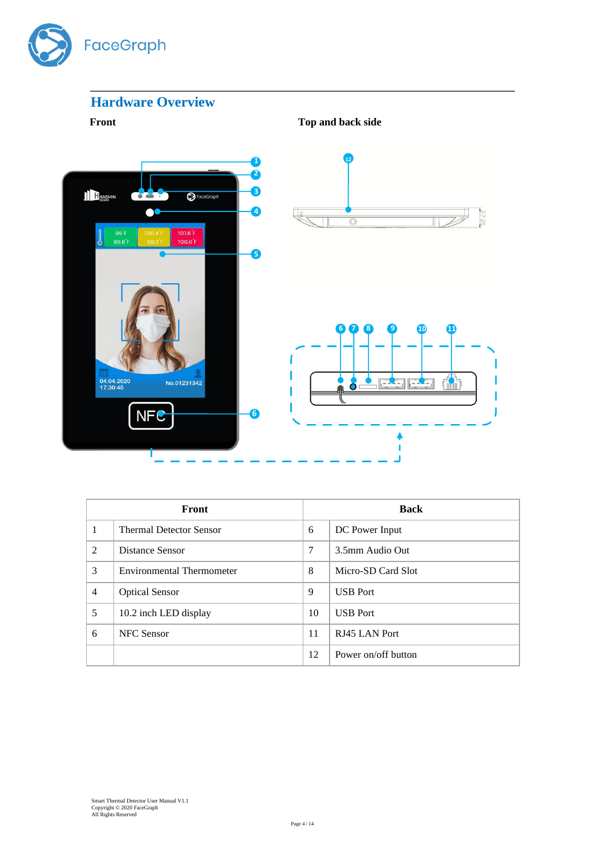

# <span id="page-3-0"></span>**Hardware Overview**

**Front** Top and back side



| Front |                                  | <b>Back</b> |                     |  |
|-------|----------------------------------|-------------|---------------------|--|
| 1     | <b>Thermal Detector Sensor</b>   | 6           | DC Power Input      |  |
| 2     | Distance Sensor                  | 7           | 3.5mm Audio Out     |  |
| 3     | <b>Environmental Thermometer</b> | 8           | Micro-SD Card Slot  |  |
| 4     | <b>Optical Sensor</b>            | 9           | <b>USB</b> Port     |  |
| 5     | 10.2 inch LED display            | 10          | <b>USB</b> Port     |  |
| 6     | <b>NFC</b> Sensor                | 11          | RJ45 LAN Port       |  |
|       |                                  | 12          | Power on/off button |  |

 $0275$ 

儒

Ī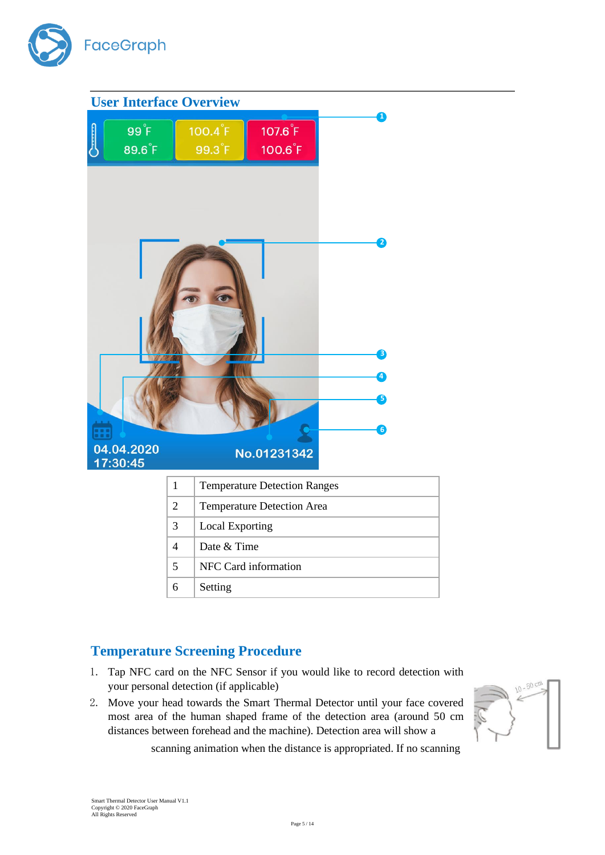

<span id="page-4-0"></span>

| <b>User Interface Overview</b>        |                |                                     |                                     |  |                                            |  |
|---------------------------------------|----------------|-------------------------------------|-------------------------------------|--|--------------------------------------------|--|
| $99^{\circ}$ F<br>89.6 <sup>°</sup> F |                | $100.4$ $F$<br>99.3 <sup>°F</sup>   | $107.6$ $F$<br>100.6 <sup>°</sup> F |  | т                                          |  |
| m<br>04.04.2020<br>17:30:45           |                |                                     | No.01231342                         |  | 2<br>B<br>$\left 4\right\rangle$<br>B<br>6 |  |
|                                       | $\mathbf{1}$   | <b>Temperature Detection Ranges</b> |                                     |  |                                            |  |
|                                       | $\overline{2}$ | Temperature Detection Area          |                                     |  |                                            |  |
|                                       | $\mathfrak{Z}$ | <b>Local Exporting</b>              |                                     |  |                                            |  |
|                                       | $\overline{4}$ | Date & Time                         |                                     |  |                                            |  |
|                                       | 5              | NFC Card information                |                                     |  |                                            |  |
|                                       | 6              | Setting                             |                                     |  |                                            |  |

# <span id="page-4-1"></span>**Temperature Screening Procedure**

- 1. Tap NFC card on the NFC Sensor if you would like to record detection with your personal detection (if applicable)
- 2. Move your head towards the Smart Thermal Detector until your face covered most area of the human shaped frame of the detection area (around 50 cm distances between forehead and the machine). Detection area will show a



scanning animation when the distance is appropriated. If no scanning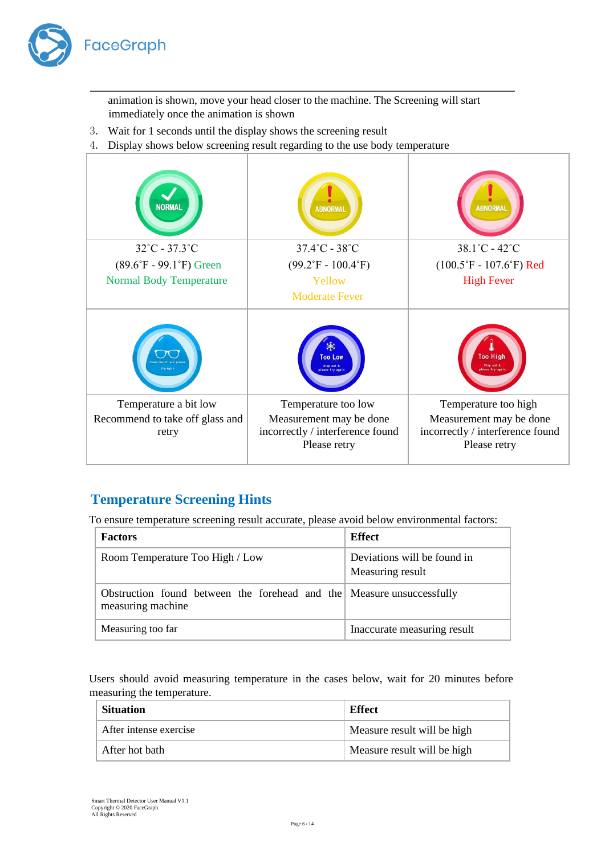

animation is shown, move your head closer to the machine. The Screening will start immediately once the animation is shown

- 3. Wait for 1 seconds until the display shows the screening result
- 4. Display shows below screening result regarding to the use body temperature

| <b>NORMAL</b>                                                     | <b>ABNORMAL</b>                                                                                    | <b>ABNORMAL</b>                                                                                     |
|-------------------------------------------------------------------|----------------------------------------------------------------------------------------------------|-----------------------------------------------------------------------------------------------------|
| $32^{\circ}$ C - 37.3 $^{\circ}$ C                                | $37.4^{\circ}$ C - $38^{\circ}$ C                                                                  | $38.1^{\circ}$ C - $42^{\circ}$ C                                                                   |
| $(89.6^{\circ}F - 99.1^{\circ}F)$ Green                           | $(99.2^{\circ}F - 100.4^{\circ}F)$                                                                 | $(100.5\textdegree F - 107.6\textdegree F)$ Red                                                     |
| <b>Normal Body Temperature</b>                                    | Yellow                                                                                             | <b>High Fever</b>                                                                                   |
|                                                                   | <b>Moderate Fever</b>                                                                              |                                                                                                     |
| Try Again                                                         | ж<br><b>Too Low</b><br>Step out &<br>lease try again                                               | <b>Too High</b><br>Step out &<br>lease try agai                                                     |
| Temperature a bit low<br>Recommend to take off glass and<br>retry | Temperature too low<br>Measurement may be done<br>incorrectly / interference found<br>Please retry | Temperature too high<br>Measurement may be done<br>incorrectly / interference found<br>Please retry |

## <span id="page-5-0"></span>**Temperature Screening Hints**

To ensure temperature screening result accurate, please avoid below environmental factors:

| <b>Factors</b>                                                                             | <b>Effect</b>                                   |
|--------------------------------------------------------------------------------------------|-------------------------------------------------|
| Room Temperature Too High / Low                                                            | Deviations will be found in<br>Measuring result |
| Obstruction found between the forehead and the Measure unsuccessfully<br>measuring machine |                                                 |
| Measuring too far                                                                          | Inaccurate measuring result                     |

Users should avoid measuring temperature in the cases below, wait for 20 minutes before measuring the temperature.

| <b>Situation</b>       | Effect                      |
|------------------------|-----------------------------|
| After intense exercise | Measure result will be high |
| After hot bath         | Measure result will be high |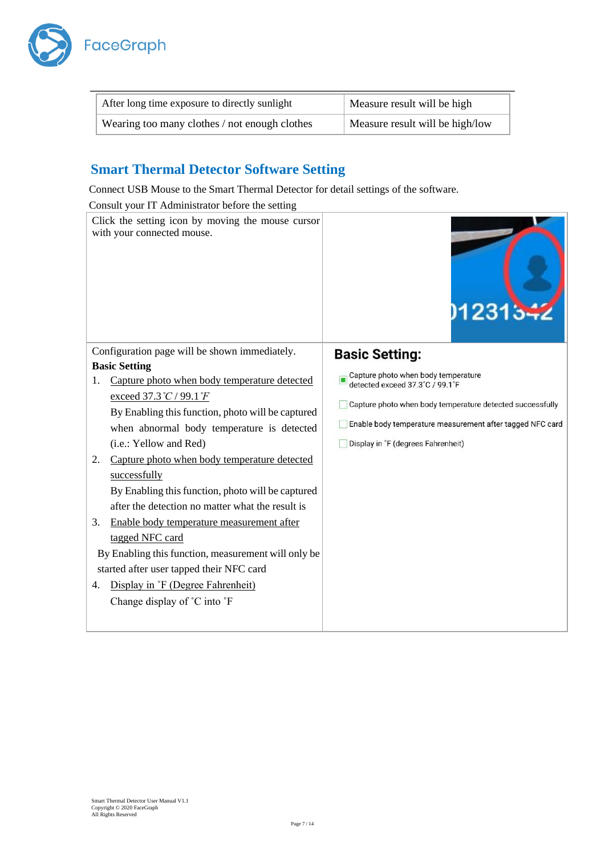

| After long time exposure to directly sunlight | Measure result will be high     |
|-----------------------------------------------|---------------------------------|
| Wearing too many clothes / not enough clothes | Measure result will be high/low |

## <span id="page-6-0"></span>**Smart Thermal Detector Software Setting**

Connect USB Mouse to the Smart Thermal Detector for detail settings of the software.

Consult your IT Administrator before the setting

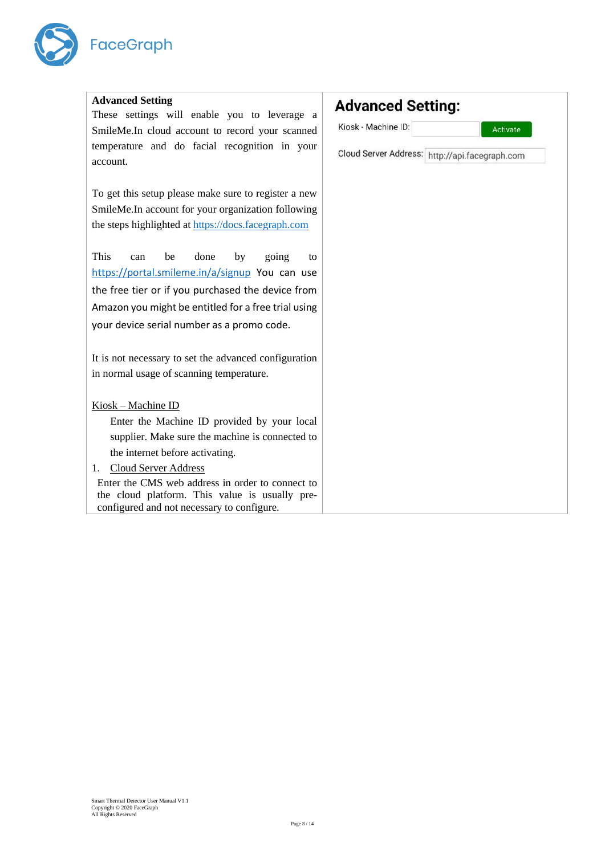

í.

| <b>Advanced Setting</b>                               | <b>Advanced Setting:</b>                       |
|-------------------------------------------------------|------------------------------------------------|
| These settings will enable you to leverage a          |                                                |
| SmileMe.In cloud account to record your scanned       | Kiosk - Machine ID:<br>Activate                |
| temperature and do facial recognition in your         |                                                |
| account.                                              | Cloud Server Address: http://api.facegraph.com |
|                                                       |                                                |
| To get this setup please make sure to register a new  |                                                |
| SmileMe.In account for your organization following    |                                                |
| the steps highlighted at https://docs.facegraph.com   |                                                |
|                                                       |                                                |
| This<br>done<br>be<br>by<br>going<br>can<br>to        |                                                |
| https://portal.smileme.in/a/signup You can use        |                                                |
| the free tier or if you purchased the device from     |                                                |
| Amazon you might be entitled for a free trial using   |                                                |
| your device serial number as a promo code.            |                                                |
|                                                       |                                                |
| It is not necessary to set the advanced configuration |                                                |
| in normal usage of scanning temperature.              |                                                |
|                                                       |                                                |
| Kiosk – Machine ID                                    |                                                |
| Enter the Machine ID provided by your local           |                                                |
| supplier. Make sure the machine is connected to       |                                                |
| the internet before activating.                       |                                                |
| <b>Cloud Server Address</b><br>$1_{\cdot}$            |                                                |
| Enter the CMS web address in order to connect to      |                                                |
| the cloud platform. This value is usually pre-        |                                                |
| configured and not necessary to configure.            |                                                |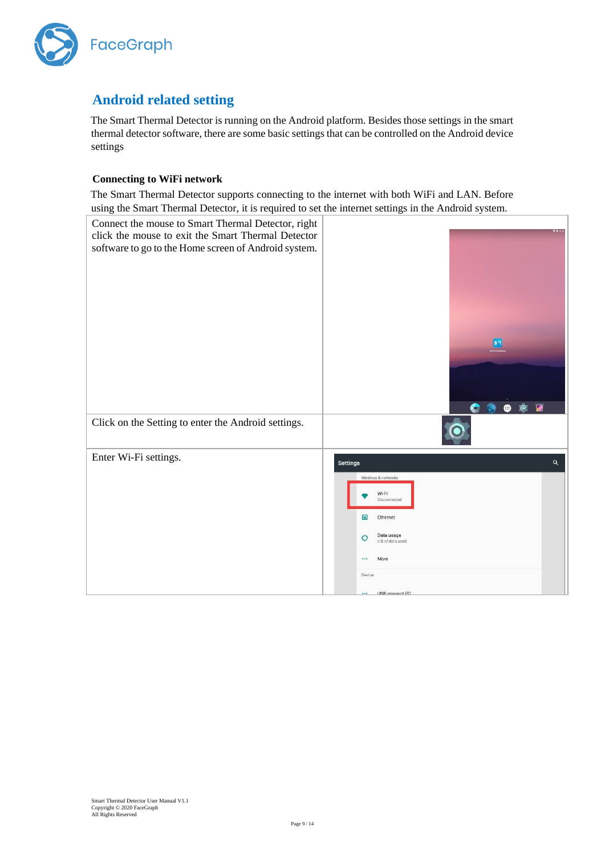

# <span id="page-8-0"></span>**Android related setting**

The Smart Thermal Detector is running on the Android platform. Besides those settings in the smart thermal detector software, there are some basic settings that can be controlled on the Android device settings

#### **Connecting to WiFi network**

The Smart Thermal Detector supports connecting to the internet with both WiFi and LAN. Before using the Smart Thermal Detector, it is required to set the internet settings in the Android system.

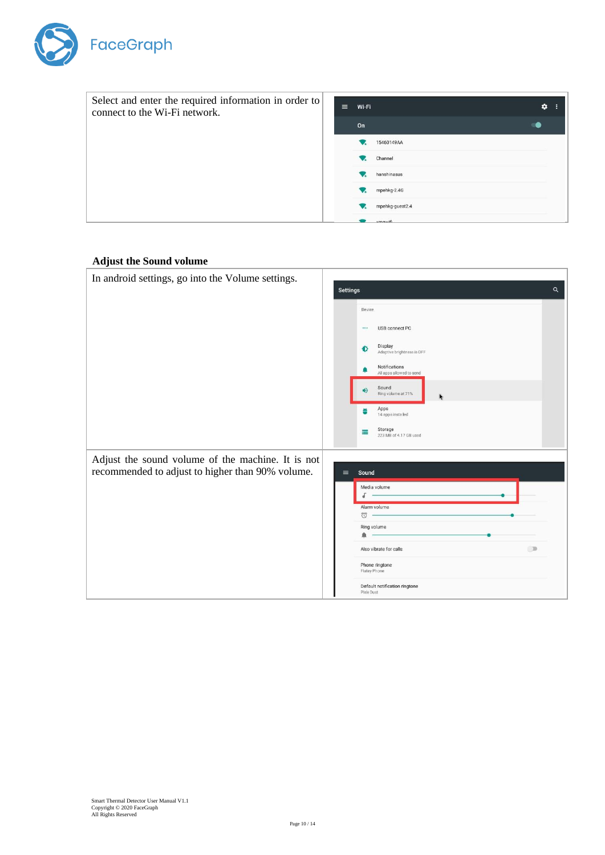

| Select and enter the required information in order to<br>connect to the Wi-Fi network. | $\equiv$ | Wi-Fi |                 | ۰ |
|----------------------------------------------------------------------------------------|----------|-------|-----------------|---|
|                                                                                        |          | On    |                 |   |
|                                                                                        |          |       | 15460149AA      |   |
|                                                                                        |          |       | Channel         |   |
|                                                                                        |          |       | hanshinasus     |   |
|                                                                                        |          |       | mpehkg-2.4G     |   |
|                                                                                        |          |       | mpehkg-guest2.4 |   |
|                                                                                        |          |       | vmmuifi         |   |

#### **Adjust the Sound volume**

| In android settings, go into the Volume settings. | $\alpha$<br><b>Settings</b>                         |
|---------------------------------------------------|-----------------------------------------------------|
|                                                   |                                                     |
|                                                   | Device                                              |
|                                                   | USB connect PC<br>                                  |
|                                                   | Display<br>Đ<br>Adaptive brightness is OFF          |
|                                                   | Notifications<br>All apps allowed to send           |
|                                                   | Sound<br>$\blacktriangleleft$<br>Ring volume at 71% |
|                                                   | Apps<br>송<br>14 apps installed                      |
|                                                   | Storage<br>⋿<br>223 MB of 4.17 GB used              |
| Adjust the sound volume of the machine. It is not |                                                     |
| recommended to adjust to higher than 90% volume.  | $\equiv$<br>Sound                                   |
|                                                   | Media volume                                        |
|                                                   | Alarm volume                                        |
|                                                   | ö<br>Ring volume                                    |
|                                                   |                                                     |
|                                                   | ( )<br>Also vibrate for calls                       |
|                                                   | Phone ringtone<br>Flutey Phone                      |
|                                                   | Default notification ringtone<br>Pixie Dust         |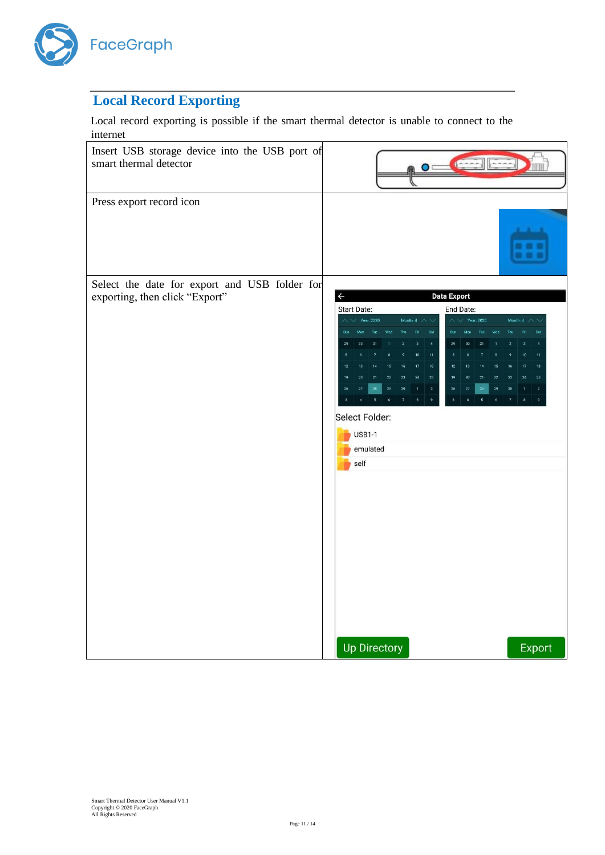

# <span id="page-10-0"></span>**Local Record Exporting**

Local record exporting is possible if the smart thermal detector is unable to connect to the internet

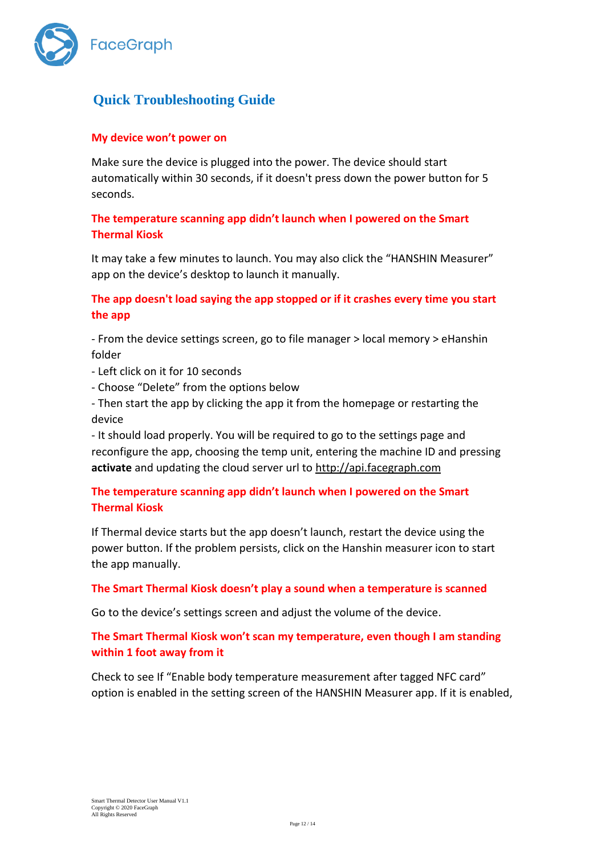

# <span id="page-11-0"></span>**Quick Troubleshooting Guide**

### **My device won't power on**

Make sure the device is plugged into the power. The device should start automatically within 30 seconds, if it doesn't press down the power button for 5 seconds.

### **The temperature scanning app didn't launch when I powered on the Smart Thermal Kiosk**

It may take a few minutes to launch. You may also click the "HANSHIN Measurer" app on the device's desktop to launch it manually.

### **The app doesn't load saying the app stopped or if it crashes every time you start the app**

- From the device settings screen, go to file manager > local memory > eHanshin folder

- Left click on it for 10 seconds
- Choose "Delete" from the options below
- Then start the app by clicking the app it from the homepage or restarting the device

- It should load properly. You will be required to go to the settings page and reconfigure the app, choosing the temp unit, entering the machine ID and pressing **activate** and updating the cloud server url to [http://api.facegraph.com](http://api.facegraph.com/)

### **The temperature scanning app didn't launch when I powered on the Smart Thermal Kiosk**

If Thermal device starts but the app doesn't launch, restart the device using the power button. If the problem persists, click on the Hanshin measurer icon to start the app manually.

### **The Smart Thermal Kiosk doesn't play a sound when a temperature is scanned**

Go to the device's settings screen and adjust the volume of the device.

### **The Smart Thermal Kiosk won't scan my temperature, even though I am standing within 1 foot away from it**

Check to see If "Enable body temperature measurement after tagged NFC card" option is enabled in the setting screen of the HANSHIN Measurer app. If it is enabled,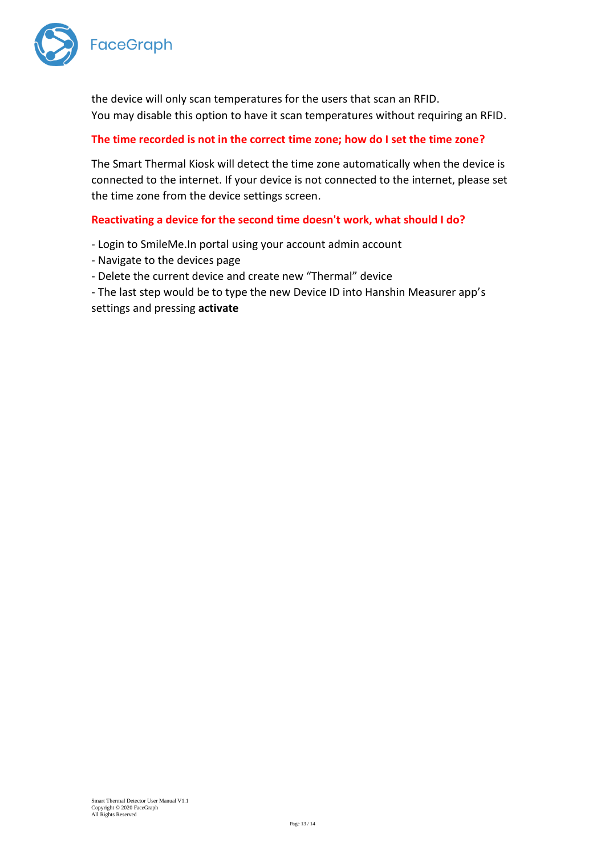

the device will only scan temperatures for the users that scan an RFID. You may disable this option to have it scan temperatures without requiring an RFID.

### **The time recorded is not in the correct time zone; how do I set the time zone?**

The Smart Thermal Kiosk will detect the time zone automatically when the device is connected to the internet. If your device is not connected to the internet, please set the time zone from the device settings screen.

#### **Reactivating a device for the second time doesn't work, what should I do?**

- Login to SmileMe.In portal using your account admin account
- Navigate to the devices page
- Delete the current device and create new "Thermal" device
- The last step would be to type the new Device ID into Hanshin Measurer app's settings and pressing **activate**